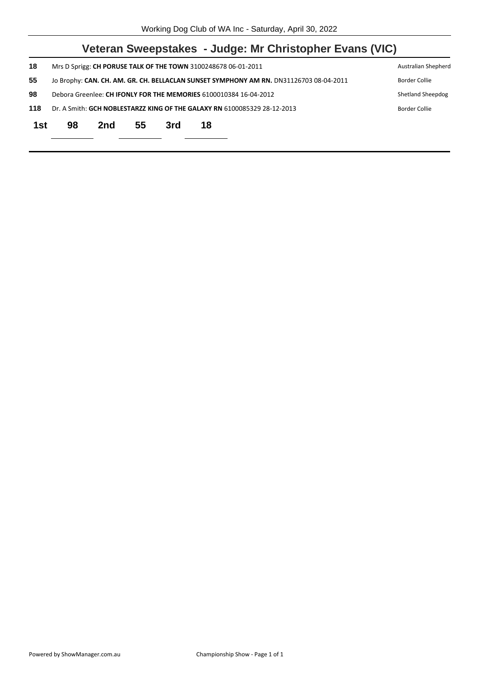|     |                                                                                           |                                                                                                         |    |     | Veteran Sweepstakes - Judge: Mr Christopher Evans (VIC) |  |  |  |
|-----|-------------------------------------------------------------------------------------------|---------------------------------------------------------------------------------------------------------|----|-----|---------------------------------------------------------|--|--|--|
| 18  |                                                                                           | Mrs D Sprigg: CH PORUSE TALK OF THE TOWN 3100248678 06-01-2011<br>Australian Shepherd                   |    |     |                                                         |  |  |  |
| 55  |                                                                                           | Jo Brophy: CAN. CH. AM. GR. CH. BELLACLAN SUNSET SYMPHONY AM RN. DN31126703 08-04-2011<br>Border Collie |    |     |                                                         |  |  |  |
| 98  | Debora Greenlee: CH IFONLY FOR THE MEMORIES 6100010384 16-04-2012<br>Shetland Sheepdog    |                                                                                                         |    |     |                                                         |  |  |  |
| 118 | Dr. A Smith: GCH NOBLESTARZZ KING OF THE GALAXY RN 6100085329 28-12-2013<br>Border Collie |                                                                                                         |    |     |                                                         |  |  |  |
| 1st | 98                                                                                        | 2nd                                                                                                     | 55 | 3rd | 18                                                      |  |  |  |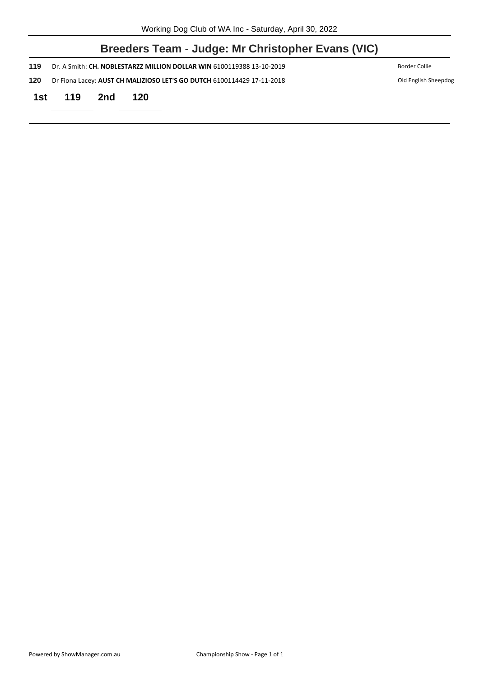|      | Breeders Team - Judge: Mr Christopher Evans (VIC)                                              |     |                                                                       |               |  |  |  |  |
|------|------------------------------------------------------------------------------------------------|-----|-----------------------------------------------------------------------|---------------|--|--|--|--|
| 119  |                                                                                                |     | Dr. A Smith: CH. NOBLESTARZZ MILLION DOLLAR WIN 6100119388 13-10-2019 | Border Collie |  |  |  |  |
| 120  | Dr Fiona Lacey: AUST CH MALIZIOSO LET'S GO DUTCH 6100114429 17-11-2018<br>Old English Sheepdog |     |                                                                       |               |  |  |  |  |
| 1st. | 119                                                                                            | 2nd | 120                                                                   |               |  |  |  |  |
|      |                                                                                                |     |                                                                       |               |  |  |  |  |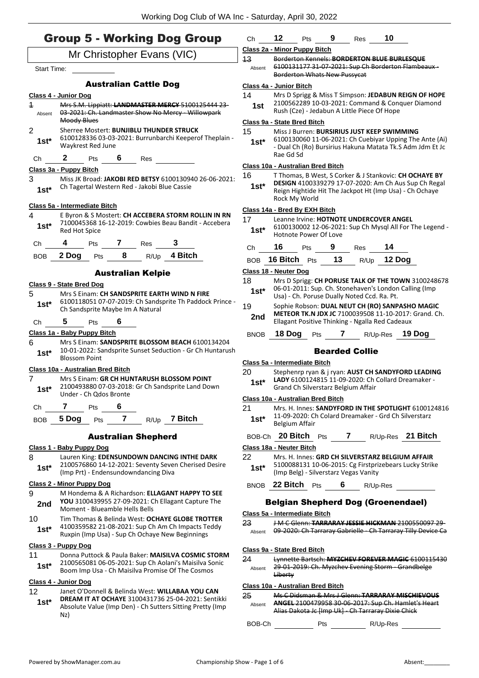Absent

# Group 5 - Working Dog Group Mr Christopher Evans (VIC) Start Time: Australian Cattle Dog **Class 4 - Junior Dog** 1 Mrs S.M. Lippiatt: **LANDMASTER MERCY** 5100125444 23- 03-2021: Ch. Landmaster Show No Mercy - Willowpark Moody Blues Absent 2 Sherree Mostert: **BUNJIBLU THUNDER STRUCK** 6100128336 03-03-2021: Burrunbarchi Keeperof Theplain - Waykrest Red June **1st\*** Ch **2** Pts **6** Res **Class 3a - Puppy Bitch** 3 Miss JK Broad: **JAKOBI RED BETSY** 6100130940 26-06-2021: Ch Tagertal Western Red - Jakobi Blue Cassie **1st\* Class 5a - Intermediate Bitch** 4 E Byron & S Mostert: **CH ACCEBERA STORM ROLLIN IN RN** 7100045368 16-12-2019: Cowbies Beau Bandit - Accebera 1st<sup>\*</sup> /<sup>100045368</sup><br>Red Hot Spice Ch **4** Pts **7** Res **3** BOB **2 Dog** Pts **8** R/Up **4 Bitch** Australian Kelpie **Class 9 - State Bred Dog** 5 Mrs S Einam: **CH SANDSPRITE EARTH WIND N FIRE** 6100118051 07-07-2019: Ch Sandsprite Th Paddock Prince - **1st**\* b100118051 07-07-2019: Ch Sands<br>Ch Sandsprite Maybe Im A Natural Ch **5** Pts **6 Class 1a - Baby Puppy Bitch** 6 Mrs S Einam: **SANDSPRITE BLOSSOM BEACH** 6100134204 10-01-2022: Sandsprite Sunset Seduction - Gr Ch Huntarush 1st<sup>\*</sup> <sup>10-01-2022: Sa</sup><br>Blossom Point **Class 10a - Australian Bred Bitch** 7 Mrs S Einam: **GR CH HUNTARUSH BLOSSOM POINT** 2100493880 07-03-2018: Gr Ch Sandsprite Land Down Under - Ch Qdos Bronte **1st\*** Ch **7** Pts **6** BOB **5 Dog** Pts **7** R/Up **7 Bitch** Australian Shepherd **Class 1 - Baby Puppy Dog** 8 Lauren King: **EDENSUNDOWN DANCING INTHE DARK** 2100576860 14-12-2021: Seventy Seven Cherised Desire (Imp Prt) - Endensundowndancing Diva **1st\* Class 2 - Minor Puppy Dog** 9 M Hondema & A Richardson: **ELLAGANT HAPPY TO SEE YOU** 3100439955 27-09-2021: Ch Ellagant Capture The 2nd YOU 3100439955 27-09-2021: C<br>Moment - Blueamble Hells Bells 10 Tim Thomas & Belinda West: **OCHAYE GLOBE TROTTER** 4100359582 21-08-2021: Sup Ch Am Ch Impacts Teddy **1st**  $4.400333302 \times 1.08.2021$ ; sup Ch Am Ch Impacts 16<br>Ruxpin (Imp Usa) - Sup Ch Ochaye New Beginnings

#### **Class 3 - Puppy Dog**

11 Donna Puttock & Paula Baker: **MAISILVA COSMIC STORM** 2100565081 06-05-2021: Sup Ch Aolani's Maisilva Sonic Boom Imp Usa - Ch Maisilva Promise Of The Cosmos **1st\***

#### **Class 4 - Junior Dog**

- 12 Janet O'Donnell & Belinda West: **WILLABAA YOU CAN**
- **DREAM IT AT OCHAYE** 3100431736 25-04-2021: Sentikki Absolute Value (Imp Den) - Ch Sutters Sitting Pretty (Imp Nz) **1st\***

|                                                                                                        |             | <u> DOI UCI LOIT YYTIULU IYCYY T UJJYCUL</u>         |     |    |             |    |                                                                                                                      |
|--------------------------------------------------------------------------------------------------------|-------------|------------------------------------------------------|-----|----|-------------|----|----------------------------------------------------------------------------------------------------------------------|
|                                                                                                        |             | Class 4a - Junior Bitch                              |     |    |             |    |                                                                                                                      |
|                                                                                                        | 14          | Mrs D Sprigg & Miss T Simpson: JEDABUN REIGN OF HOPE |     |    |             |    |                                                                                                                      |
| 2100562289 10-03-2021: Command & Conquer Diamond<br>1st<br>Rush (Cze) - Jedabun A Little Piece Of Hope |             |                                                      |     |    |             |    |                                                                                                                      |
| Class 9a - State Bred Bitch                                                                            |             |                                                      |     |    |             |    |                                                                                                                      |
|                                                                                                        | 15          | Miss J Burren: BURSIRIUS JUST KEEP SWIMMING          |     |    |             |    |                                                                                                                      |
|                                                                                                        | 1st*        |                                                      |     |    |             |    | 6100130060 11-06-2021: Ch Cuebiyar Upping The Ante (Ai)<br>- Dual Ch (Ro) Bursirius Hakuna Matata Tk.S Adm Jdm Et Jc |
|                                                                                                        |             | Rae Gd Sd                                            |     |    |             |    |                                                                                                                      |
|                                                                                                        |             | Class 10a - Australian Bred Bitch                    |     |    |             |    |                                                                                                                      |
|                                                                                                        | 16          |                                                      |     |    |             |    | T Thomas, B West, S Corker & J Stankovic: CH OCHAYE BY                                                               |
|                                                                                                        | $1st^*$     |                                                      |     |    |             |    | DESIGN 4100339279 17-07-2020: Am Ch Aus Sup Ch Regal                                                                 |
|                                                                                                        |             |                                                      |     |    |             |    | Reign Hightide Hit The Jackpot Ht (Imp Usa) - Ch Ochaye                                                              |
|                                                                                                        |             | Rock My World                                        |     |    |             |    |                                                                                                                      |
|                                                                                                        |             | Class 14a - Bred By EXH Bitch                        |     |    |             |    |                                                                                                                      |
|                                                                                                        | 17          | Leanne Irvine: HOTNOTE UNDERCOVER ANGEL              |     |    |             |    |                                                                                                                      |
|                                                                                                        | $1st^*$     | Hotnote Power Of Love                                |     |    |             |    | 6100130002 12-06-2021: Sup Ch Mysgl All For The Legend -                                                             |
|                                                                                                        | Ch          | 16<br>Pts                                            |     | 9  | Res         | 14 |                                                                                                                      |
|                                                                                                        | BOB         | 16 Bitch $P$ ts                                      |     | 13 | R/Up 12 Dog |    |                                                                                                                      |
|                                                                                                        |             | Class 18 - Neuter Dog                                |     |    |             |    |                                                                                                                      |
|                                                                                                        | 18          |                                                      |     |    |             |    | Mrs D Sprigg: CH PORUSE TALK OF THE TOWN 3100248678                                                                  |
|                                                                                                        | 1st*        |                                                      |     |    |             |    | 06-01-2011: Sup. Ch. Stonehaven's London Calling (Imp                                                                |
|                                                                                                        |             | Usa) - Ch. Poruse Dually Noted Ccd. Ra. Pt.          |     |    |             |    |                                                                                                                      |
|                                                                                                        | 19          |                                                      |     |    |             |    | Sophie Robson: DUAL NEUT CH (RO) SANPASHO MAGIC                                                                      |
|                                                                                                        | 2nd         | Ellagant Positive Thinking - Ngalla Red Cadeaux      |     |    |             |    | <b>METEOR TK.N JDX JC 7100039508 11-10-2017: Grand. Ch.</b>                                                          |
|                                                                                                        | <b>BNOB</b> | 18 Doq                                               | Pts | 7  | R/Up-Res    |    | 19 Dog                                                                                                               |

Ch **12** Pts **9** Res **10**

Borderton Whats New Pussycat

13 Borderton Kennels: **BORDERTON BLUE BURLESQUE**

6100131177 31-07-2021: Sup Ch Borderton Flambeaux -

**Class 2a - Minor Puppy Bitch**

#### Bearded Collie

#### **Class 5a - Intermediate Bitch**

- 20 Stephenrp ryan & j ryan: **AUST CH SANDYFORD LEADING**
- **LADY** 6100124815 11-09-2020: Ch Collard Dreamaker
	- **1st\*** LADY 6100124815 11-09-2020: Ch Grand Ch Silverstarz Belgium Affair

#### **Class 10a - Australian Bred Bitch**

21 Mrs. H. Innes: **SANDYFORD IN THE SPOTLIGHT** 6100124816 11-09-2020: Ch Colard Dreamaker - Grd Ch Silverstarz 1st<sup>\*</sup> <sup>11-09-2020: U</sup>

BOB-Ch **20 Bitch** Pts **7** R/Up-Res **21 Bitch**

#### **Class 18a - Neuter Bitch**

- 22 Mrs. H. Innes: **GRD CH SILVERSTARZ BELGIUM AFFAIR** 5100088131 10-06-2015: Cg Firstprizebears Lucky Strike (Imp Belg) - Silverstarz Vegas Vanity **1st\***
- BNOB **22 Bitch** Pts **6** R/Up-Res

# Belgian Shepherd Dog (Groenendael)

# **Class 5a - Intermediate Bitch**

23 J M C Glenn: **TARRARAY JESSIE HICKMAN** 2100550097 29- Absent 09-2020: Ch Tarraray Gabrielle - Ch Tarraray Tilly Device Ca

#### **Class 9a - State Bred Bitch**

24 Lynnette Bartsch: **MYZCHEV FOREVER MAGIC** 6100115430 29-01-2019: Ch. Myzchev Evening Storm - Grandbelge Liberty Absent

# **Class 10a - Australian Bred Bitch**

25 Ms C Didsman & Mrs J Glenn: **TARRARAY MISCHIEVOUS ANGEL** 2100479958 30-06-2017: Sup Ch. Hamlet's Heart Alias Dakota Jc [Imp Uk] - Ch Tarraray Dixie Chick Absent

# BOB-Ch Pts R/Up-Res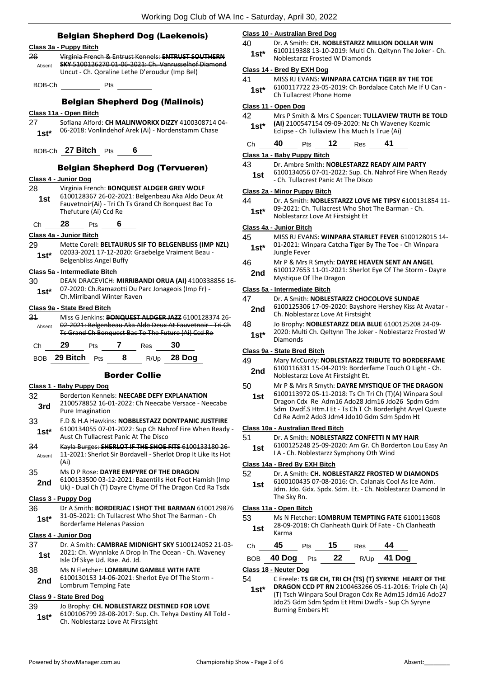- Belgian Shepherd Dog (Laekenois) **Class 3a - Puppy Bitch** 26 Virginia French & Entrust Kennels: **ENTRUST SOUTHERN SKY** 5100126270 01-06-2021: Ch. Vanrusselhof Diamond Uncut - Ch. Qoraline Lethe D'eroudur (Imp Bel) Absent BOB-Ch Pts Belgian Shepherd Dog (Malinois) **Class 11a - Open Bitch** 27 Sofiana Alford: **CH MALINWORKX DIZZY** 4100308714 04- 06-2018: Vonlindehof Arek (Ai) - Nordenstamm Chase **1st\*** BOB-Ch **27 Bitch** Pts **6** Belgian Shepherd Dog (Tervueren) **Class 4 - Junior Dog** 28 Virginia French: **BONQUEST ALDGER GREY WOLF** 6100128367 26-02-2021: Belgenbeau Aka Aldo Deux At Fauvetnoir(Ai) - Tri Ch Ts Grand Ch Bonquest Bac To Thefuture (Ai) Ccd Re **1st** Ch **28** Pts **6 Class 4a - Junior Bitch** 29 Mette Corell: **BELTAURUS SIF TO BELGENBLISS (IMP NZL)** 02033-2021 17-12-2020: Graebelge Vraiment Beau - Belgenbliss Angel Buffy **1st\* Class 5a - Intermediate Bitch** 30 DEAN DRACEVICH: **MIRRIBANDI ORUA (AI)** 4100338856 16- 07-2020: Ch.Ramazotti Du Parc Jonageois (Imp Fr) - Ch.Mirribandi Winter Raven **1st\* Class 9a - State Bred Bitch** 31 Miss G Jenkins: **BONQUEST ALDGER JAZZ** 6100128374 26- 02-2021: Belgenbeau Aka Aldo Deux At Fauvetnoir - Tri Ch Ts Grand Ch Bonquest Bac To The Future (Ai) Ccd Re Absent Ch **29** Pts **7** Res **30** BOB **29 Bitch** Pts **8** R/Up **28 Dog** Border Collie **Class 1 - Baby Puppy Dog** 32 Borderton Kennels: **NEECABE DEFY EXPLANATION** 2100578852 16-01-2022: Ch Neecabe Versace - Neecabe **3rd** <sup>2100578852 16-0<br>Pure Imagination</sup> 33 F.D & H.A Hawkins: **NOBBLESTAZZ DONTPANIC JUSTFIRE** 6100134055 07-01-2022: Sup Ch Nahrof Fire When Ready - **1st**\* b100134055 07-01-2022: Sup Cn Nan<br>Aust Ch Tullacrest Panic At The Disco 34 Kayla Burges: **SHERLOT IF THE SHOE FITS** 6100133180 26- 11-2021: Sherlot Sir Bordavell - Sherlot Drop It Like Its Hot (Ai) Absent 35 Ms D P Rose: **DAYRE EMPYRE OF THE DRAGON** 6100133500 03-12-2021: Bazentills Hot Foot Hamish (Imp 2nd b100133500 03-12-2021: Bazentilis Hot Foot Hamish (imp<br>Uk) - Dual Ch (T) Dayre Chyme Of The Dragon Ccd Ra Tsdx **Class 3 - Puppy Dog** 36 Dr A Smith: **BORDERJAC I SHOT THE BARMAN** 6100129876 31-05-2021: Ch Tullacrest Who Shot The Barman - Ch **1st** 31-05-2021: Ch Tullacrest Wildman Passion **Class 4 - Junior Dog** 37 Dr. A Smith: **CAMBRAE MIDNIGHT SKY** 5100124052 21-03- 2021: Ch. Wynnlake A Drop In The Ocean - Ch. Waveney
- 
- 
- **1st** and the Of Skye Ud. Rae. Ad. Jd. 38 Ms N Fletcher: **LOMBRUM GAMBLE WITH FATE**
- 6100130153 14-06-2021: Sherlot Eye Of The Storm 2nd **bluul30153** 14-00-2021

# **Class 9 - State Bred Dog**

- 39 Jo Brophy: **CH. NOBLESTARZZ DESTINED FOR LOVE**
- 6100106799 28-08-2017: Sup. Ch. Tehya Destiny All Told 1st\* b100106799 28-08-2017: Sup. Ch.<br>Ch. Noblestarzz Love At Firstsight

# **Class 10 - Australian Bred Dog**

40 Dr. A Smith: **CH. NOBLESTARZZ MILLION DOLLAR WIN** 6100119388 13-10-2019: Multi Ch. Qeltynn The Joker - Ch. Noblestarzz Frosted W Diamonds **1st\***

# **Class 14 - Bred By EXH Dog**

- 41 MISS RJ EVANS: **WINPARA CATCHA TIGER BY THE TOE** 6100117722 23-05-2019: Ch Bordalace Catch Me If U Can -
	- 1st\* 0100117722 25-05-2019.

# **Class 11 - Open Dog**

42 Mrs P Smith & Mrs C Spencer: **TULLAVIEW TRUTH BE TOLD (AI)** 2100547154 09-09-2020: Nz Ch Waveney Kozmic Eclipse - Ch Tullaview This Much Is True (Ai) **1st\***

| Ch | 40 | <b>Pts</b> | $\overline{\mathbf{12}}$ | Res | 41 |
|----|----|------------|--------------------------|-----|----|
|    |    |            |                          |     |    |

# **Class 1a - Baby Puppy Bitch**

# 43 Dr. Ambre Smith: **NOBLESTARZZ READY AIM PARTY**

6100134056 07-01-2022: Sup. Ch. Nahrof Fire When Ready 1st 0100154056 07-01-2022. sup. Ch.<br>Ch. Tullacrest Panic At The Disco

# **Class 2a - Minor Puppy Bitch**

| 44    | Dr. A Smith: NOBLESTARZZ LOVE ME TIPSY 6100131854 11- |
|-------|-------------------------------------------------------|
| $1c+$ | 09-2021: Ch. Tullacrest Who Shot The Barman - Ch.     |

**1St 1St 1St 1St 1St 1St 1St 1St 1St 1St 1St 1St 1St 1St 1St 1St 1St 1St 1St 1St 1St 1St 1St 1St 1St 1St 1St 1St 1St 1St 1St 1St 1St 1St 1St 1St 1St**

# **Class 4a - Junior Bitch**

- 45 MISS RJ EVANS: **WINPARA STARLET FEVER** 6100128015 14-
- 01-2021: Winpara Catcha Tiger By The Toe Ch Winpara Jungle Fever **1st\***
- 46 Mr P & Mrs R Smyth: **DAYRE HEAVEN SENT AN ANGEL**
- 6100127653 11-01-2021: Sherlot Eye Of The Storm Dayre Mystique Of The Dragon **2nd**

# **Class 5a - Intermediate Bitch**

| 47  | Dr. A Smith: NOBLESTARZZ CHOCOLOVE SUNDAE                                                      |
|-----|------------------------------------------------------------------------------------------------|
| 2nd | 6100125306 17-09-2020: Bayshore Hershey Kiss At Avatar -<br>Ch. Noblestarzz Love At Firstsight |
| 48  | Jo Brophy: NOBLESTARZZ DEJA BLUE 6100125208 24-09-<br>$\overline{a}$                           |

2020: Multi Ch. Qeltynn The Joker - Noblestarzz Frosted W 1st<sup>\*</sup> <sup>2020: Mul</sup><br>Diamonds

# **Class 9a - State Bred Bitch**

- 49 Mary McCurdy: **NOBLESTARZZ TRIBUTE TO BORDERFAME** 6100116331 15-04-2019: Borderfame Touch O Light - Ch.
- 2nd b100116331 15-04-2019: Border<br>**2nd** Noblestarzz Love At Firstsight Et.
- 50 Mr P & Mrs R Smyth: **DAYRE MYSTIQUE OF THE DRAGON**
- 6100113972 05-11-2018: Ts Ch Tri Ch (T)(A) Winpara Soul Dragon Cdx Re Adm16 Ado28 Jdm16 Jdo26 Spdm Gdm Sdm Dwdf.S Htm.I Et - Ts Ch T Ch Borderlight Aryel Queste Cd Re Adm2 Ado3 Jdm4 Jdo10 Gdm Sdm Spdm Ht **1st**

# **Class 10a - Australian Bred Bitch**

- 51 Dr. A Smith: **NOBLESTARZZ CONFETTI N MY HAIR**
- 6100125248 25-09-2020: Am Gr. Ch Borderton Lou Easy An **1st** b100125248 25-09-2020: Am Gr. Ch Borde<br>**1A** - Ch. Noblestarzz Symphony Oth Wind

# 52 Dr. A Smith: **CH. NOBLESTARZZ FROSTED W DIAMONDS**

6100100435 07-08-2016: Ch. Calanais Cool As Ice Adm. Jdm. Jdo. Gdx. Spdx. Sdm. Et. - Ch. Noblestarzz Diamond In The Sky Rn. **1st**

# **Class 11a - Open Bitch**

53 Ms N Fletcher: **LOMBRUM TEMPTING FATE** 6100113608 28-09-2018: Ch Clanheath Quirk Of Fate - Ch Clanheath **1st** <sup>28-09-</sup><br>Karma

| Ch 45 Pts 15 Res |  |                               |
|------------------|--|-------------------------------|
|                  |  | BOB 40 Dog Pts 22 R/Up 41 Dog |

# **Class 18 - Neuter Dog**

54 C Freele: **TS GR CH, TRI CH (TS) (T) SYRYNE HEART OF THE** 

**DRAGON CCD PT RN** 2100463266 05-11-2016: Triple Ch (A) (T) Tsch Winpara Soul Dragon Cdx Re Adm15 Jdm16 Ado27 Jdo25 Gdm Sdm Spdm Et Htmi Dwdfs - Sup Ch Syryne Burning Embers Ht **1st\***

**Class 14a - Bred By EXH Bitch**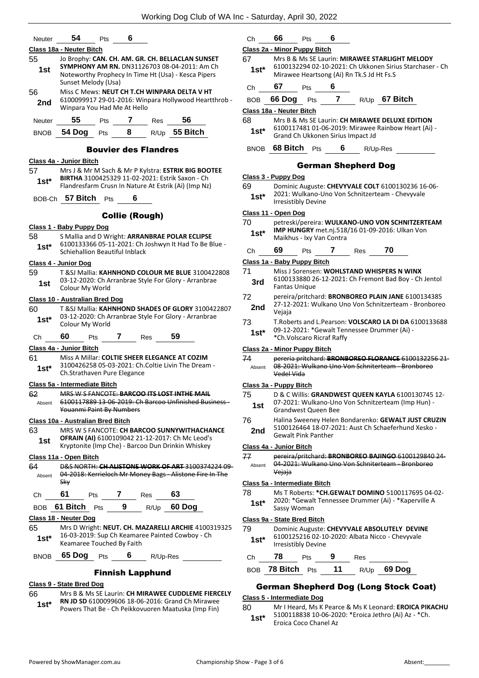| Neuter           | 54                                              | Pts                         | 6                     |            |                                                                                                                                                         |  |
|------------------|-------------------------------------------------|-----------------------------|-----------------------|------------|---------------------------------------------------------------------------------------------------------------------------------------------------------|--|
| 55<br>1st        | Class 18a - Neuter Bitch<br>Sunset Melody (Usa) |                             |                       |            | Jo Brophy: CAN. CH. AM. GR. CH. BELLACLAN SUNSET<br>SYMPHONY AM RN. DN31126703 08-04-2011: Am Ch<br>Noteworthy Prophecy In Time Ht (Usa) - Kesca Pipers |  |
| 56<br>2nd        | Winpara You Had Me At Hello                     |                             |                       |            | Miss C Mews: NEUT CH T.CH WINPARA DELTA V HT<br>6100099917 29-01-2016: Winpara Hollywood Heartthrob -                                                   |  |
| Neuter           | 55                                              | Pts                         | 7                     | <b>Res</b> | 56                                                                                                                                                      |  |
| <b>BNOB</b>      | 54 Dog                                          | Pts                         | 8                     |            | R/Up 55 Bitch                                                                                                                                           |  |
|                  |                                                 | <b>Bouvier des Flandres</b> |                       |            |                                                                                                                                                         |  |
|                  | Class 4a - Junior Bitch                         |                             |                       |            |                                                                                                                                                         |  |
| 57               |                                                 |                             |                       |            | Mrs J & Mr M Sach & Mr P Kylstra: ESTRIK BIG BOOTEE                                                                                                     |  |
| 1st*             |                                                 |                             |                       |            | BIRTHA 3100425329 11-02-2021: Estrik Saxon - Ch<br>Flandresfarm Crusn In Nature At Estrik (Ai) (Imp Nz)                                                 |  |
|                  | BOB-Ch 57 Bitch Pts                             |                             | 6                     |            |                                                                                                                                                         |  |
|                  |                                                 |                             | <b>Collie (Rough)</b> |            |                                                                                                                                                         |  |
|                  | <u> Class 1 - Baby Puppy Dog</u>                |                             |                       |            |                                                                                                                                                         |  |
| 58               |                                                 |                             |                       |            | S Mallia and D Wright: ARRANBRAE POLAR ECLIPSE                                                                                                          |  |
| 1st*             | Schiehallion Beautiful Inblack                  |                             |                       |            | 6100133366 05-11-2021: Ch Joshwyn It Had To Be Blue -                                                                                                   |  |
|                  | Class 4 - Junior Dog                            |                             |                       |            |                                                                                                                                                         |  |
| 59               |                                                 |                             |                       |            | T &SJ Mallia: KAHNHOND COLOUR ME BLUE 3100422808                                                                                                        |  |
| 1st              | Colour My World                                 |                             |                       |            | 03-12-2020: Ch Arranbrae Style For Glory - Arranbrae                                                                                                    |  |
|                  | Class 10 - Australian Bred Dog                  |                             |                       |            |                                                                                                                                                         |  |
| 60               |                                                 |                             |                       |            | T & SJ Mallia: KAHNHOND SHADES OF GLORY 3100422807                                                                                                      |  |
| $1st*$           | Colour My World                                 |                             |                       |            | 03-12-2020: Ch Arranbrae Style For Glory - Arranbrae                                                                                                    |  |
| Сh               | 60<br>Pts                                       | 7                           |                       | Res        | 59                                                                                                                                                      |  |
|                  | Class 4a - Junior Bitch                         |                             |                       |            |                                                                                                                                                         |  |
| 61<br>1st* i     | Ch.Strathaven Pure Elegance                     |                             |                       |            | Miss A Millar: COLTIE SHEER ELEGANCE AT COZIM<br>3100426258 05-03-2021: Ch.Coltie Livin The Dream -                                                     |  |
|                  | Class 5a - Intermediate Bitch                   |                             |                       |            |                                                                                                                                                         |  |
| 62               |                                                 |                             |                       |            | <b>MRS W S FANCOTE: BARCOO ITS LOST INTHE MAIL</b>                                                                                                      |  |
| Absent           | Youanmi Paint By Numbers                        |                             |                       |            | 6100117889 13 06 2019: Ch Barcoo Unfinished Business-                                                                                                   |  |
|                  | Class 10a - Australian Bred Bitch               |                             |                       |            |                                                                                                                                                         |  |
| 63               |                                                 |                             |                       |            | MRS W S FANCOTE: CH BARCOO SUNNYWITHACHANCE                                                                                                             |  |
| 1st.             |                                                 |                             |                       |            | OFRAIN (AI) 6100109042 21-12-2017: Ch Mc Leod's<br>Kryptonite (Imp Che) - Barcoo Dun Drinkin Whiskey                                                    |  |
|                  | Class 11a - Open Bitch                          |                             |                       |            |                                                                                                                                                         |  |
| 64               |                                                 |                             |                       |            | D&S NORTH: CH ALISTONE WORK OF ART 3100374224 09-                                                                                                       |  |
|                  | <b>Sky</b>                                      |                             |                       |            | Absent 04 2018: Kerrieloch Mr Money Bags Alistone Fire In The                                                                                           |  |
| Ch <sub>am</sub> | 61                                              | Pts 7 Res 63                |                       |            |                                                                                                                                                         |  |
|                  | BOB 61 Bitch Pts 9 R/Up 60 Dog                  |                             |                       |            |                                                                                                                                                         |  |
|                  | Class 18 - Neuter Dog                           |                             |                       |            |                                                                                                                                                         |  |
| 65<br>1st*       | Keamaree Touched By Faith                       |                             |                       |            | Mrs D Wright: NEUT. CH. MAZARELLI ARCHIE 4100319325<br>16-03-2019: Sup Ch Keamaree Painted Cowboy - Ch                                                  |  |
|                  | BNOB 65 Dog Pts 6 R/Up-Res                      |                             |                       |            |                                                                                                                                                         |  |
|                  |                                                 | <b>Finnish Lapphund</b>     |                       |            |                                                                                                                                                         |  |

# **Class 9 - State Bred Dog**

# 66 Mrs B & Ms SE Laurin: **CH MIRAWEE CUDDLEME FIERCELY**

**RN JD SD** 6100099606 18-06-2016: Grand Ch Mirawee Powers That Be - Ch Peikkovuoren Maatuska (Imp Fin) **1st\***

| Сh                         | 66                                                                     | Pts | 6              |                                           |                                                          |  |
|----------------------------|------------------------------------------------------------------------|-----|----------------|-------------------------------------------|----------------------------------------------------------|--|
|                            | Class 2a - Minor Puppy Bitch                                           |     |                |                                           |                                                          |  |
| 67                         |                                                                        |     |                |                                           | Mrs B & Ms SE Laurin: MIRAWEE STARLIGHT MELODY           |  |
| 1st*                       |                                                                        |     |                | Mirawee Heartsong (Ai) Rn Tk.S Jd Ht Fs.S | 6100132294 02-10-2021: Ch Ukkonen Sirius Starchaser - Ch |  |
| Сh                         | 67                                                                     | Pts | 6              |                                           |                                                          |  |
| BOB                        |                                                                        |     |                |                                           | 66 Dog Pts 7 R/Up 67 Bitch                               |  |
|                            | Class 18a - Neuter Bitch                                               |     |                |                                           |                                                          |  |
| 68                         |                                                                        |     |                |                                           | Mrs B & Ms SE Laurin: CH MIRAWEE DELUXE EDITION          |  |
| $1st*$                     |                                                                        |     |                | Grand Ch Ukkonen Sirius Impact Jd         | 6100117481 01-06-2019: Mirawee Rainbow Heart (Ai) -      |  |
|                            | BNOB 68 Bitch Pts                                                      |     | 6              |                                           | R/Up-Res                                                 |  |
| <b>German Shepherd Dog</b> |                                                                        |     |                |                                           |                                                          |  |
|                            | Class 3 - Puppy Dog                                                    |     |                |                                           |                                                          |  |
| 69                         |                                                                        |     |                |                                           | Dominic Auguste: CHEVYVALE COLT 6100130236 16-06-        |  |
| 1st*                       | <b>Irresistibly Devine</b>                                             |     |                |                                           | 2021: Wulkano-Uno Von Schnitzerteam - Chevyvale          |  |
|                            | Class 11 - Open Dog                                                    |     |                |                                           |                                                          |  |
| 70                         |                                                                        |     |                |                                           | petreski/pereira: WULKANO-UNO VON SCHNITZERTEAM          |  |
| $1st*$                     | Maikhus - Ixy Van Contra                                               |     |                |                                           | IMP HUNGRY met.nj.518/16 01-09-2016: Ulkan Von           |  |
| Сh                         | 69                                                                     | Pts | $\overline{7}$ | <b>Res</b>                                | 70                                                       |  |
|                            | Class 1a - Baby Puppy Bitch                                            |     |                |                                           |                                                          |  |
| 71                         |                                                                        |     |                |                                           | Miss J Sorensen: WOHLSTAND WHISPERS N WINX               |  |
| 3rd                        | 6100133880 26-12-2021: Ch Fremont Bad Boy - Ch Jentol<br>Fantas Unique |     |                |                                           |                                                          |  |
| 72                         |                                                                        |     |                |                                           | pereira/pritchard: BRONBOREO PLAIN JANE 6100134385       |  |
| 2nd                        | Vejaja                                                                 |     |                |                                           | 27-12-2021: Wulkano Uno Von Schnitzerteam - Bronboreo    |  |
| 73                         |                                                                        |     |                |                                           | T. Roberts and L. Pearson: VOLSCARO LA DI DA 6100133688  |  |
| $1st^*$                    | *Ch.Volscaro Ricraf Raffy                                              |     |                |                                           | 09-12-2021: *Gewalt Tennessee Drummer (Ai) -             |  |
|                            | Class 2a - Minor Puppy Bitch                                           |     |                |                                           |                                                          |  |
| 74                         |                                                                        |     |                |                                           | pereria pritchard: BRONBOREO FLORANCE 6100132256 21-     |  |
| Absent                     | Vedel Vida                                                             |     |                |                                           | 08-2021: Wulkano Uno Von Schniterteam - Bronboreo        |  |
|                            | Class 3a - Puppy Bitch                                                 |     |                |                                           |                                                          |  |
|                            |                                                                        |     |                |                                           | 75 D & C Willis: GRANDWEST QUEEN KAYLA 6100130745 12-    |  |
| 1st                        | <b>Grandwest Queen Bee</b>                                             |     |                |                                           | 07-2021: Wulkano-Uno Von Schnitzerteam (Imp Hun) -       |  |
| 76                         |                                                                        |     |                |                                           | Halina Sweeney Helen Bondarenko: GEWALT JUST CRUZIN      |  |
| 2nd                        |                                                                        |     |                |                                           | 5100126464 18-07-2021: Aust Ch Schaeferhund Xesko -      |  |
|                            | <b>Gewalt Pink Panther</b>                                             |     |                |                                           |                                                          |  |
| 77                         | Class 4a - Junior Bitch                                                |     |                |                                           | pereira/pritchard: BRONBOREO BAJINGO 6100129840 24-      |  |
| Absent                     |                                                                        |     |                |                                           | 04-2021: Wulkano Uno Von Schniterteam - Bronboreo        |  |
|                            | Vejaja                                                                 |     |                |                                           |                                                          |  |
|                            | Class 5a - Intermediate Bitch                                          |     |                |                                           |                                                          |  |
| 78                         |                                                                        |     |                |                                           | Ms T Roberts: * CH.GEWALT DOMINO 5100117695 04-02-       |  |
| $1st*$                     | Sassy Woman                                                            |     |                |                                           | 2020: *Gewalt Tennessee Drummer (Ai) - *Kaperville A     |  |
|                            | Class 9a - State Bred Bitch                                            |     |                |                                           |                                                          |  |
| 79 -                       |                                                                        |     |                |                                           | Dominic Auguste: CHEVYVALE ABSOLUTELY DEVINE             |  |
| $1st^*$                    | Irresistibly Devine                                                    |     |                |                                           | 6100125216 02-10-2020: Albata Nicco - Chevyvale          |  |
| Ch                         | 78<br><b>Pts</b>                                                       |     | $\overline{9}$ | Res                                       |                                                          |  |
|                            |                                                                        |     |                |                                           | BOB 78 Bitch Pts 11 R/Up 69 Dog                          |  |
|                            |                                                                        |     |                |                                           | <b>German Shepherd Dog (Long Stock Coat)</b>             |  |

# **Class 5 - Intermediate Dog**

80 Mr I Heard, Ms K Pearce & Ms K Leonard: **EROICA PIKACHU** 5100118838 10-06-2020: \*Eroica Jethro (Ai) Az - \*Ch. Eroica Coco Chanel Az **1st\***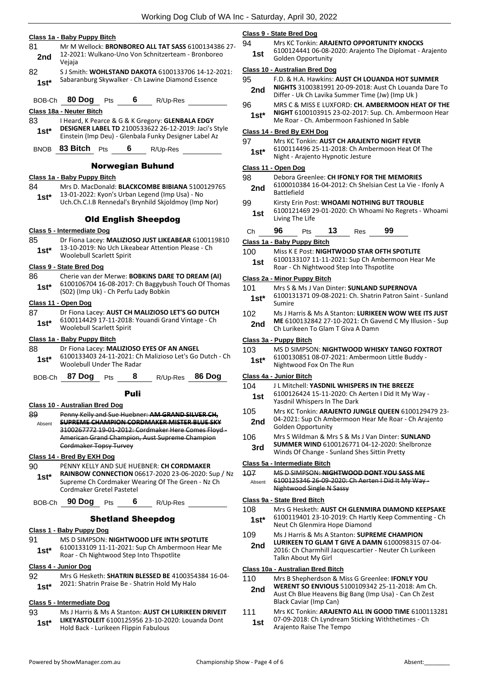|                 | <u> Class 1a - Baby Puppy Bitch</u>                                                                                                                          | Class !                          |
|-----------------|--------------------------------------------------------------------------------------------------------------------------------------------------------------|----------------------------------|
| 81<br>2nd       | Mr M Wellock: BRONBOREO ALL TAT SASS 6100134386 27-<br>12-2021: Wulkano-Uno Von Schnitzerteam - Bronboreo<br>Vejaja                                          | 94<br>1s <sub>i</sub>            |
| 82<br>$1st*$    | S J Smith: WOHLSTAND DAKOTA 6100133706 14-12-2021:<br>Sabaranburg Skywalker - Ch Lawine Diamond Essence                                                      | <b>Class</b><br>95               |
| BOB-Ch          | 80 Dog<br>6<br><b>Pts</b><br>R/Up-Res                                                                                                                        | 2no<br>96                        |
|                 | <u> Class 18a - Neuter Bitch</u>                                                                                                                             | 1st                              |
| 83              | I Heard, K Pearce & G & K Gregory: GLENBALA EDGY                                                                                                             |                                  |
| $1st^*$         | DESIGNER LABEL TD 2100533622 26-12-2019: Jaci's Style<br>Einstein (Imp Deu) - Glenbala Funky Designer Label Az                                               | Class <sup>of</sup><br>97        |
| <b>BNOB</b>     | 83 Bitch Pts<br>6<br>R/Up-Res                                                                                                                                | 1st                              |
|                 | <b>Norwegian Buhund</b>                                                                                                                                      | <b>Class</b>                     |
|                 | Class 1a - Baby Puppy Bitch                                                                                                                                  | 98                               |
| 84<br>$1st*$    | Mrs D. MacDonald: BLACKCOMBE BIBIANA 5100129765<br>13-01-2022: Kyon's Urban Legend (Imp Usa) - No<br>Uch.Ch.C.I.B Rennedal's Brynhild Skjoldmoy (Imp Nor)    | 2no<br>99                        |
|                 | <b>Old English Sheepdog</b>                                                                                                                                  | 1s                               |
|                 | Class 5 - Intermediate Dog                                                                                                                                   | Ch                               |
| 85<br>$1st*$    | Dr Fiona Lacey: MALIZIOSO JUST LIKEABEAR 6100119810<br>13-10-2019: No Uch Likeabear Attention Please - Ch<br><b>Woolebull Scarlett Spirit</b>                | Class <sup>®</sup><br>100<br>1st |
|                 | Class 9 - State Bred Dog                                                                                                                                     |                                  |
| 86<br>$1st^*$   | Cherie van der Merwe: BOBKINS DARE TO DREAM (AI)<br>6100106704 16-08-2017: Ch Baggybush Touch Of Thomas<br>(S02) (Imp Uk) - Ch Perfu Lady Bobkin             | Class:<br>101                    |
|                 | Class 11 - Open Dog                                                                                                                                          | 1st                              |
| 87<br>$1st*$    | Dr Fiona Lacey: AUST CH MALIZIOSO LET'S GO DUTCH<br>6100114429 17-11-2018: Youandi Grand Vintage - Ch<br><b>Woolebull Scarlett Spirit</b>                    | 102<br>2n                        |
|                 | Class 1a - Baby Puppy Bitch                                                                                                                                  | Class:                           |
| 88<br>$1st^*$   | Dr Fiona Lacey: MALIZIOSO EYES OF AN ANGEL<br>6100133403 24-11-2021: Ch Malizioso Let's Go Dutch - Ch<br>Woolebull Under The Radar                           | 103<br>1st                       |
| BOB-Ch          | 8<br>87 Dog<br>86 Doq<br>R/Up-Res<br>Pts                                                                                                                     | Class                            |
|                 | Puli                                                                                                                                                         | 104<br>1st                       |
|                 | Class 10 - Australian Bred Dog                                                                                                                               |                                  |
| 89<br>Absent    | Penny Kelly and Sue Huebner: AM GRAND SILVER CH,<br><b>SUPREME CHAMPION CORDMAKER MISTER BLUE SKY</b><br>3100267772 19-01-2012: Cordmaker Here Comes Floyd - | 105<br>2n                        |
|                 | American Grand Champion, Aust Supreme Champion<br>Cordmaker Topsy Turvey                                                                                     | 106<br>3rc                       |
|                 | Class 14 - Bred By EXH Dog                                                                                                                                   |                                  |
| 90              | PENNY KELLY AND SUE HUEBNER: CH CORDMAKER                                                                                                                    | <u>Class</u><br>107              |
| $1st^*$         | RAINBOW CONNECTION 06617-2020 23-06-2020: Sup / Nz<br>Supreme Ch Cordmaker Wearing Of The Green - Nz Ch<br>Cordmaker Gretel Pastetel                         | Abser                            |
| BOB-Ch          | 90 Dog<br>6<br><b>Pts</b><br>R/Up-Res                                                                                                                        | <u>Class</u><br>108              |
|                 | <b>Shetland Sheepdog</b>                                                                                                                                     | 1st                              |
|                 | <u> Class 1 - Baby Puppy Dog</u>                                                                                                                             | 109                              |
| 91<br>$1st^*$   | MS D SIMPSON: NIGHTWOOD LIFE INTH SPOTLITE<br>6100133109 11-11-2021: Sup Ch Ambermoon Hear Me<br>Roar - Ch Nightwood Step Into Thspotlite                    | 2no                              |
|                 | <b>Class 4 - Junior Dog</b>                                                                                                                                  | <b>Class</b>                     |
| 92<br>$1st^*$   | Mrs G Hesketh: <b>SHATRIN BLESSED BE</b> 4100354384 16-04-<br>2021: Shatrin Praise Be - Shatrin Hold My Halo                                                 | 110                              |
|                 |                                                                                                                                                              | 2no                              |
|                 | Class 5 - Intermediate Dog                                                                                                                                   |                                  |
| 93<br>$1e^{t*}$ | Ms J Harris & Ms A Stanton: AUST CH LURIKEEN DRIVEIT<br>LIKEYASTOLEIT 6100125956 23-10-2020: Louanda Dont                                                    | 111<br>1st                       |

# **Class 9 - State Bred Dog**

- **Mrs KC Tonkin: ARAJENTO OPPORTUNITY KNOCKS**
- 6100124441 06-08-2020: Arajento The Diplomat Arajento t 010012<del>444</del>1 00-06-.<br>**1** Golden Opportunity

#### **Class 10 - Australian Bred Dog**

- 95 F.D. & H.A. Hawkins: **AUST CH LOUANDA HOT SUMMER NIGHTS** 3100381991 20-09-2018: Aust Ch Louanda Dare To Differ - Uk Ch Lavika Summer Time (Jw) (Imp Uk ) **2nd**
- 96 MRS C & MISS E LUXFORD: **CH. AMBERMOON HEAT OF THE**
- **NIGHT** 6100103915 23-02-2017: Sup. Ch. Ambermoon Hear Me Roar - Ch. Ambermoon Fashioned In Sable

# **Class 14 - Bred By EXH Dog**

| 97     | Mrs KC Tonkin: AUST CH ARAJENTO NIGHT FEVER     |
|--------|-------------------------------------------------|
| $1st*$ | 6100114496 25-11-2018: Ch Ambermoon Heat Of The |
|        | Night - Arajento Hypnotic Jesture               |

#### **Class 11 - Open Dog**

# 98 Debora Greenlee: **CH IFONLY FOR THE MEMORIES**

- 6100010384 16-04-2012: Ch Shelsian Cest La Vie Ifonly A Battlefield<br>**P**attlefield
- 99 Kirsty Erin Post: **WHOAMI NOTHING BUT TROUBLE**
- 6100121469 29-01-2020: Ch Whoami No Regrets Whoami t <sup>0100121409</sup>2
- Ch **96** Pts **13** Res **99**

# **Class 1a - Baby Puppy Bitch**

#### **Miss K E Post: NIGHTWOOD STAR OFTH SPOTLITE**

6100133107 11-11-2021: Sup Ch Ambermoon Hear Me Roar - Ch Nightwood Step Into Thspotlite **1st**

# **Class 2a - Minor Puppy Bitch**

- Mrs S & Ms J Van Dinter: **SUNLAND SUPERNOVA**
- 6100131371 09-08-2021: Ch. Shatrin Patron Saint Sunland Sumire **1st\***
- 102 Ms J Harris & Ms A Stanton: **LURIKEEN WOW WEE ITS JUST ME** 6100132842 27-10-2021: Ch Gavend C My Illusion - Sup **d** ME 6100132842 27-10-2021: Ch Gav<br>Ch Lurikeen To Glam T Giva A Damn

#### **Class 3a - Puppy Bitch**

- **MS D SIMPSON: NIGHTWOOD WHISKY TANGO FOXTROT**
- 6100130851 08-07-2021: Ambermoon Little Buddy **Nightwood Fox On The Run**

# **Class 4a - Junior Bitch**

- J L Mitchell: YASDNIL WHISPERS IN THE BREEZE
- 6100126424 15-11-2020: Ch Aerten I Did It My Way Yasdnil Whispers In The Dark **1st**
- 105 Mrs KC Tonkin: **ARAJENTO JUNGLE QUEEN** 6100129479 23- 04-2021: Sup Ch Ambermoon Hear Me Roar - Ch Arajento d U<sup>4-2021:</sup> 5up Cn Am<br>Golden Opportunity
- 106 Mrs S Wildman & Mrs S & Ms J Van Dinter: **SUNLAND SUMMER WIND** 6100126771 04-12-2020: Shelbronze Winds Of Change - Sunland Shes Sittin Pretty **3rd**

#### **Class 5a - Intermediate Bitch**

107 MS D SIMPSON: **NIGHTWOOD DONT YOU SASS ME** 6100125346 26-09-2020: Ch Aerten I Did It My Way - Nightwood Single N Sassy Absent

# **Class 9a - State Bred Bitch**

- Mrs G Hesketh: AUST CH GLENMIRA DIAMOND KEEPSAKE 6100119401 23-10-2019: Ch Hartly Keep Commenting - Ch **Neut Ch Glenmira Hope Diamond**
- Ms J Harris & Ms A Stanton: **SUPREME CHAMPION LURIKEEN TO GLAM T GIVE A DAMN** 6100098315 07-04- 2016: Ch Charmhill Jacquescartier - Neuter Ch Lurikeen Talkn About My Girl **2nd**

# **Class 10a - Australian Bred Bitch**

- 110 Mrs B Shepherdson & Miss G Greenlee: **IFONLY YOU**
- **WERENT SO ENVIOUS** 5100109342 25-11-2018: Am Ch. Aust Ch Blue Heavens Big Bang (Imp Usa) - Can Ch Zest Black Caviar (Imp Can) **2nd**
- Mrs KC Tonkin: ARAJENTO ALL IN GOOD TIME 6100113281 07-09-2018: Ch Lyndream Sticking Withthetimes - Ch Arajento Raise The Tempo **1st**

Hold Back - Lurikeen Flippin Fabulous **1st\***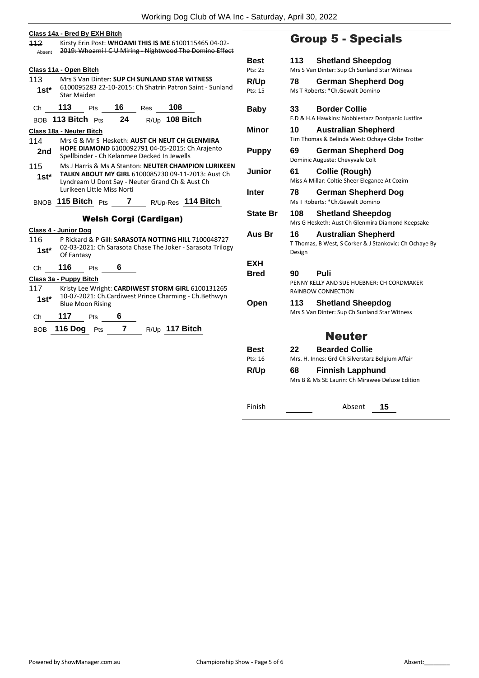#### **Class 14a - Bred By EXH Bitch**

112 Kirsty Erin Post: **WHOAMI THIS IS ME** 6100115465 04-02- Absent 2019: Whoami I C U Miring - Nightwood The Domino Effect **Class 11a - Open Bitch**

113 Mrs S Van Dinter: **SUP CH SUNLAND STAR WITNESS** 6100095283 22-10-2015: Ch Shatrin Patron Saint - Sunland Star Maiden **1st\***

Ch **113** Pts **16** Res **108**

# BOB **113 Bitch** Pts **24** R/Up **108 Bitch**

- **Class 18a - Neuter Bitch**
- 114 Mrs G & Mr S Hesketh: **AUST CH NEUT CH GLENMIRA HOPE DIAMOND** 6100092791 04-05-2015: Ch Arajento 2nd HOPE DIAMOND 6100092791 04-05-2015: C<br>Spellbinder - Ch Kelanmee Decked In Jewells
- 115 Ms J Harris & Ms A Stanton: **NEUTER CHAMPION LURIKEEN TALKN ABOUT MY GIRL** 6100085230 09-11-2013: Aust Ch Lyndream U Dont Say - Neuter Grand Ch & Aust Ch Lurikeen Little Miss Norti **1st\***

# BNOB **115 Bitch** Pts **7** R/Up-Res **114 Bitch**

# Welsh Corgi (Cardigan)

**Class 4 - Junior Dog**

- 116 P Rickard & P Gill: **SARASOTA NOTTING HILL** 7100048727 02-03-2021: Ch Sarasota Chase The Joker - Sarasota Trilogy **1st**\* 02-03-2022
- Ch **116** Pts **6**

# **Class 3a - Puppy Bitch**

- 117 Kristy Lee Wright: **CARDIWEST STORM GIRL** 6100131265 10-07-2021: Ch.Cardiwest Prince Charming - Ch.Bethwyn **1st**\* 10-07-2021: Ch.Ca<br>Blue Moon Rising
- Ch **117** Pts **6**
- BOB **116 Dog** Pts **7** R/Up **117 Bitch**

# Group 5 - Specials

| Best<br>Pts: 25 | 113          | <b>Shetland Sheepdog</b><br>Mrs S Van Dinter: Sup Ch Sunland Star Witness            |
|-----------------|--------------|--------------------------------------------------------------------------------------|
| R/Up<br>Pts: 15 | 78           | <b>German Shepherd Dog</b><br>Ms T Roberts: *Ch.Gewalt Domino                        |
| <b>Baby</b>     | 33           | <b>Border Collie</b><br>F.D & H.A Hawkins: Nobblestazz Dontpanic Justfire            |
| Minor           | 10           | <b>Australian Shepherd</b><br>Tim Thomas & Belinda West: Ochaye Globe Trotter        |
| <b>Puppy</b>    | 69           | <b>German Shepherd Dog</b><br>Dominic Auguste: Chevyvale Colt                        |
| Junior          | 61           | Collie (Rough)<br>Miss A Millar: Coltie Sheer Elegance At Cozim                      |
| Inter           | 78           | <b>German Shepherd Dog</b><br>Ms T Roberts: *Ch.Gewalt Domino                        |
| State Br        | 108          | <b>Shetland Sheepdog</b><br>Mrs G Hesketh: Aust Ch Glenmira Diamond Keepsake         |
| Aus Br          | 16<br>Design | <b>Australian Shepherd</b><br>T Thomas, B West, S Corker & J Stankovic: Ch Ochaye By |
| EXH             |              |                                                                                      |
| Bred            | 90           | Puli<br>PENNY KELLY AND SUE HUEBNER: CH CORDMAKER<br>RAINBOW CONNECTION              |
| Open            | 113          | <b>Shetland Sheepdog</b><br>Mrs S Van Dinter: Sup Ch Sunland Star Witness            |
|                 |              | <b>Neuter</b>                                                                        |
| Best<br>Pts: 16 | 22.          | <b>Bearded Collie</b><br>Mrs. H. Innes: Grd Ch Silverstarz Belgium Affair            |
| <b>R/Up</b>     | 68           | <b>Finnish Lapphund</b><br>Mrs B & Ms SE Laurin: Ch Mirawee Deluxe Edition           |
| Finish          |              | Absent<br>15                                                                         |